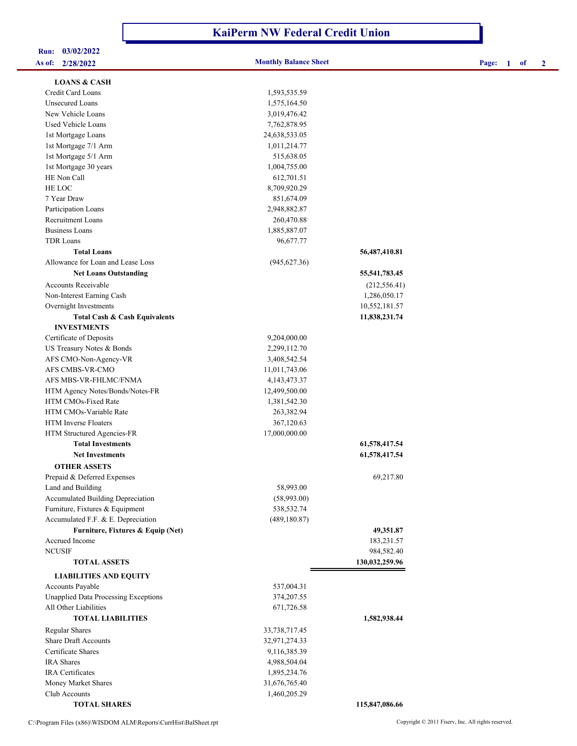## **KaiPerm NW Federal Credit Union**

| 03/02/2022<br>Run:                          |                              |                |                        |
|---------------------------------------------|------------------------------|----------------|------------------------|
| As of: 2/28/2022                            | <b>Monthly Balance Sheet</b> |                | -1<br>2<br>Page:<br>of |
| <b>LOANS &amp; CASH</b>                     |                              |                |                        |
| Credit Card Loans                           | 1,593,535.59                 |                |                        |
| <b>Unsecured Loans</b>                      | 1,575,164.50                 |                |                        |
| New Vehicle Loans                           | 3,019,476.42                 |                |                        |
| Used Vehicle Loans                          | 7,762,878.95                 |                |                        |
| 1st Mortgage Loans                          | 24,638,533.05                |                |                        |
| 1st Mortgage 7/1 Arm                        | 1,011,214.77                 |                |                        |
| 1st Mortgage 5/1 Arm                        | 515,638.05                   |                |                        |
| 1st Mortgage 30 years                       | 1,004,755.00                 |                |                        |
| HE Non Call                                 | 612,701.51                   |                |                        |
| HE LOC                                      | 8,709,920.29                 |                |                        |
| 7 Year Draw                                 | 851,674.09                   |                |                        |
| Participation Loans                         | 2,948,882.87                 |                |                        |
| Recruitment Loans                           | 260,470.88                   |                |                        |
| <b>Business Loans</b>                       | 1,885,887.07                 |                |                        |
| <b>TDR Loans</b>                            | 96,677.77                    |                |                        |
| <b>Total Loans</b>                          |                              | 56,487,410.81  |                        |
| Allowance for Loan and Lease Loss           | (945, 627.36)                |                |                        |
| <b>Net Loans Outstanding</b>                |                              | 55,541,783.45  |                        |
| <b>Accounts Receivable</b>                  |                              | (212, 556.41)  |                        |
| Non-Interest Earning Cash                   |                              | 1,286,050.17   |                        |
| Overnight Investments                       |                              | 10,552,181.57  |                        |
| <b>Total Cash &amp; Cash Equivalents</b>    |                              | 11,838,231.74  |                        |
| <b>INVESTMENTS</b>                          |                              |                |                        |
| Certificate of Deposits                     | 9,204,000.00                 |                |                        |
| US Treasury Notes & Bonds                   | 2,299,112.70                 |                |                        |
| AFS CMO-Non-Agency-VR                       | 3,408,542.54                 |                |                        |
| AFS CMBS-VR-CMO                             | 11,011,743.06                |                |                        |
| AFS MBS-VR-FHLMC/FNMA                       | 4, 143, 473. 37              |                |                        |
| HTM Agency Notes/Bonds/Notes-FR             | 12,499,500.00                |                |                        |
| HTM CMOs-Fixed Rate                         | 1,381,542.30                 |                |                        |
| HTM CMOs-Variable Rate                      | 263,382.94                   |                |                        |
| <b>HTM</b> Inverse Floaters                 | 367,120.63                   |                |                        |
| HTM Structured Agencies-FR                  | 17,000,000.00                |                |                        |
| <b>Total Investments</b>                    |                              | 61,578,417.54  |                        |
| <b>Net Investments</b>                      |                              | 61,578,417.54  |                        |
| <b>OTHER ASSETS</b>                         |                              |                |                        |
| Prepaid & Deferred Expenses                 |                              | 69,217.80      |                        |
| Land and Building                           | 58,993.00                    |                |                        |
| Accumulated Building Depreciation           | (58,993.00)                  |                |                        |
| Furniture, Fixtures & Equipment             | 538,532.74                   |                |                        |
| Accumulated F.F. & E. Depreciation          | (489, 180.87)                |                |                        |
| Furniture, Fixtures & Equip (Net)           |                              | 49,351.87      |                        |
| Accrued Income                              |                              | 183,231.57     |                        |
| <b>NCUSIF</b>                               |                              | 984,582.40     |                        |
| <b>TOTAL ASSETS</b>                         |                              | 130,032,259.96 |                        |
| <b>LIABILITIES AND EQUITY</b>               |                              |                |                        |
| Accounts Payable                            | 537,004.31                   |                |                        |
| <b>Unapplied Data Processing Exceptions</b> | 374,207.55                   |                |                        |
| All Other Liabilities                       | 671,726.58                   |                |                        |
| <b>TOTAL LIABILITIES</b>                    |                              | 1,582,938.44   |                        |
| <b>Regular Shares</b>                       | 33,738,717.45                |                |                        |
| Share Draft Accounts                        | 32,971,274.33                |                |                        |
| Certificate Shares                          | 9,116,385.39                 |                |                        |
| <b>IRA</b> Shares                           | 4,988,504.04                 |                |                        |
| IRA Certificates                            | 1,895,234.76                 |                |                        |

Money Market Shares 31,676,765.40 Club Accounts 1,460,205.29

 **TOTAL SHARES 115,847,086.66**